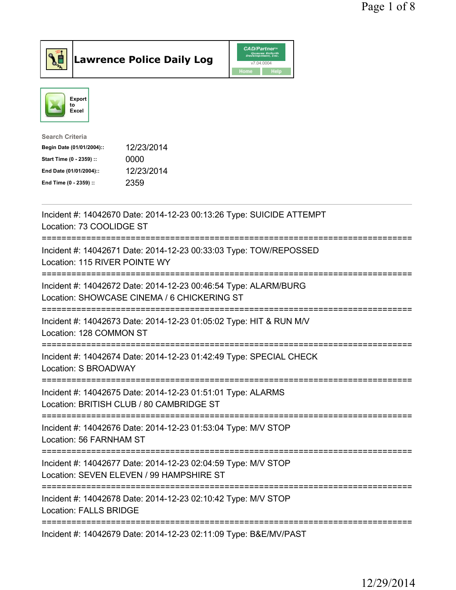



| <b>Search Criteria</b>    |            |
|---------------------------|------------|
| Begin Date (01/01/2004):: | 12/23/2014 |
| Start Time (0 - 2359) ::  | 0000       |
| End Date (01/01/2004)::   | 12/23/2014 |
| End Time (0 - 2359) ::    | 2359       |
|                           |            |

| Incident #: 14042670 Date: 2014-12-23 00:13:26 Type: SUICIDE ATTEMPT<br>Location: 73 COOLIDGE ST<br>==========================                      |
|-----------------------------------------------------------------------------------------------------------------------------------------------------|
| Incident #: 14042671 Date: 2014-12-23 00:33:03 Type: TOW/REPOSSED<br>Location: 115 RIVER POINTE WY<br>:===================                          |
| Incident #: 14042672 Date: 2014-12-23 00:46:54 Type: ALARM/BURG<br>Location: SHOWCASE CINEMA / 6 CHICKERING ST                                      |
| Incident #: 14042673 Date: 2014-12-23 01:05:02 Type: HIT & RUN M/V<br>Location: 128 COMMON ST                                                       |
| Incident #: 14042674 Date: 2014-12-23 01:42:49 Type: SPECIAL CHECK<br>Location: S BROADWAY                                                          |
| Incident #: 14042675 Date: 2014-12-23 01:51:01 Type: ALARMS<br>Location: BRITISH CLUB / 80 CAMBRIDGE ST                                             |
| Incident #: 14042676 Date: 2014-12-23 01:53:04 Type: M/V STOP<br>Location: 56 FARNHAM ST                                                            |
| --------------------------------------<br>Incident #: 14042677 Date: 2014-12-23 02:04:59 Type: M/V STOP<br>Location: SEVEN ELEVEN / 99 HAMPSHIRE ST |
| ==================================<br>Incident #: 14042678 Date: 2014-12-23 02:10:42 Type: M/V STOP<br><b>Location: FALLS BRIDGE</b>                |
| Incident #: 14042679 Date: 2014-12-23 02:11:09 Type: B&E/MV/PAST                                                                                    |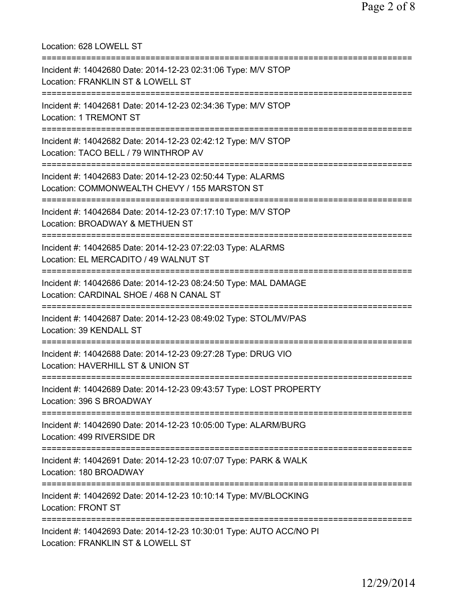Location: 628 LOWELL ST =========================================================================== Incident #: 14042680 Date: 2014-12-23 02:31:06 Type: M/V STOP Location: FRANKLIN ST & LOWELL ST =========================================================================== Incident #: 14042681 Date: 2014-12-23 02:34:36 Type: M/V STOP Location: 1 TREMONT ST =========================================================================== Incident #: 14042682 Date: 2014-12-23 02:42:12 Type: M/V STOP Location: TACO BELL / 79 WINTHROP AV =========================================================================== Incident #: 14042683 Date: 2014-12-23 02:50:44 Type: ALARMS Location: COMMONWEALTH CHEVY / 155 MARSTON ST =========================================================================== Incident #: 14042684 Date: 2014-12-23 07:17:10 Type: M/V STOP Location: BROADWAY & METHUEN ST =========================================================================== Incident #: 14042685 Date: 2014-12-23 07:22:03 Type: ALARMS Location: EL MERCADITO / 49 WALNUT ST =========================================================================== Incident #: 14042686 Date: 2014-12-23 08:24:50 Type: MAL DAMAGE Location: CARDINAL SHOE / 468 N CANAL ST =========================================================================== Incident #: 14042687 Date: 2014-12-23 08:49:02 Type: STOL/MV/PAS Location: 39 KENDALL ST =========================================================================== Incident #: 14042688 Date: 2014-12-23 09:27:28 Type: DRUG VIO Location: HAVERHILL ST & UNION ST =========================================================================== Incident #: 14042689 Date: 2014-12-23 09:43:57 Type: LOST PROPERTY Location: 396 S BROADWAY =========================================================================== Incident #: 14042690 Date: 2014-12-23 10:05:00 Type: ALARM/BURG Location: 499 RIVERSIDE DR =========================================================================== Incident #: 14042691 Date: 2014-12-23 10:07:07 Type: PARK & WALK Location: 180 BROADWAY =========================================================================== Incident #: 14042692 Date: 2014-12-23 10:10:14 Type: MV/BLOCKING Location: FRONT ST =========================================================================== Incident #: 14042693 Date: 2014-12-23 10:30:01 Type: AUTO ACC/NO PI Location: FRANKLIN ST & LOWELL ST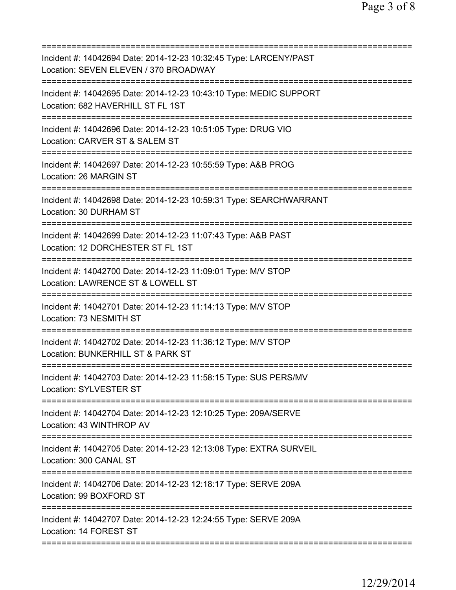| Incident #: 14042694 Date: 2014-12-23 10:32:45 Type: LARCENY/PAST<br>Location: SEVEN ELEVEN / 370 BROADWAY                          |
|-------------------------------------------------------------------------------------------------------------------------------------|
| Incident #: 14042695 Date: 2014-12-23 10:43:10 Type: MEDIC SUPPORT<br>Location: 682 HAVERHILL ST FL 1ST                             |
| Incident #: 14042696 Date: 2014-12-23 10:51:05 Type: DRUG VIO<br>Location: CARVER ST & SALEM ST<br>====================             |
| Incident #: 14042697 Date: 2014-12-23 10:55:59 Type: A&B PROG<br>Location: 26 MARGIN ST                                             |
| Incident #: 14042698 Date: 2014-12-23 10:59:31 Type: SEARCHWARRANT<br>Location: 30 DURHAM ST                                        |
| Incident #: 14042699 Date: 2014-12-23 11:07:43 Type: A&B PAST<br>Location: 12 DORCHESTER ST FL 1ST                                  |
| Incident #: 14042700 Date: 2014-12-23 11:09:01 Type: M/V STOP<br>Location: LAWRENCE ST & LOWELL ST<br>============================= |
| Incident #: 14042701 Date: 2014-12-23 11:14:13 Type: M/V STOP<br>Location: 73 NESMITH ST                                            |
| Incident #: 14042702 Date: 2014-12-23 11:36:12 Type: M/V STOP<br>Location: BUNKERHILL ST & PARK ST                                  |
| Incident #: 14042703 Date: 2014-12-23 11:58:15 Type: SUS PERS/MV<br>Location: SYLVESTER ST                                          |
| Incident #: 14042704 Date: 2014-12-23 12:10:25 Type: 209A/SERVE<br>Location: 43 WINTHROP AV                                         |
| Incident #: 14042705 Date: 2014-12-23 12:13:08 Type: EXTRA SURVEIL<br>Location: 300 CANAL ST                                        |
| Incident #: 14042706 Date: 2014-12-23 12:18:17 Type: SERVE 209A<br>Location: 99 BOXFORD ST                                          |
| Incident #: 14042707 Date: 2014-12-23 12:24:55 Type: SERVE 209A<br>Location: 14 FOREST ST                                           |
|                                                                                                                                     |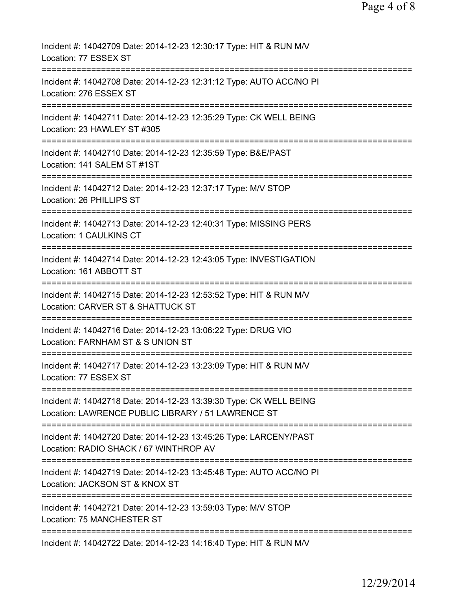| Incident #: 14042709 Date: 2014-12-23 12:30:17 Type: HIT & RUN M/V<br>Location: 77 ESSEX ST                                                  |
|----------------------------------------------------------------------------------------------------------------------------------------------|
| Incident #: 14042708 Date: 2014-12-23 12:31:12 Type: AUTO ACC/NO PI<br>Location: 276 ESSEX ST                                                |
| Incident #: 14042711 Date: 2014-12-23 12:35:29 Type: CK WELL BEING<br>Location: 23 HAWLEY ST #305                                            |
| Incident #: 14042710 Date: 2014-12-23 12:35:59 Type: B&E/PAST<br>Location: 141 SALEM ST #1ST                                                 |
| Incident #: 14042712 Date: 2014-12-23 12:37:17 Type: M/V STOP<br>Location: 26 PHILLIPS ST                                                    |
| .====================================<br>Incident #: 14042713 Date: 2014-12-23 12:40:31 Type: MISSING PERS<br><b>Location: 1 CAULKINS CT</b> |
| Incident #: 14042714 Date: 2014-12-23 12:43:05 Type: INVESTIGATION<br>Location: 161 ABBOTT ST                                                |
| =====================<br>Incident #: 14042715 Date: 2014-12-23 12:53:52 Type: HIT & RUN M/V<br>Location: CARVER ST & SHATTUCK ST             |
| Incident #: 14042716 Date: 2014-12-23 13:06:22 Type: DRUG VIO<br>Location: FARNHAM ST & S UNION ST                                           |
| Incident #: 14042717 Date: 2014-12-23 13:23:09 Type: HIT & RUN M/V<br>Location: 77 ESSEX ST                                                  |
| Incident #: 14042718 Date: 2014-12-23 13:39:30 Type: CK WELL BEING<br>Location: LAWRENCE PUBLIC LIBRARY / 51 LAWRENCE ST                     |
| Incident #: 14042720 Date: 2014-12-23 13:45:26 Type: LARCENY/PAST<br>Location: RADIO SHACK / 67 WINTHROP AV                                  |
| Incident #: 14042719 Date: 2014-12-23 13:45:48 Type: AUTO ACC/NO PI<br>Location: JACKSON ST & KNOX ST                                        |
| Incident #: 14042721 Date: 2014-12-23 13:59:03 Type: M/V STOP<br>Location: 75 MANCHESTER ST                                                  |
| Incident #: 14042722 Date: 2014-12-23 14:16:40 Type: HIT & RUN M/V                                                                           |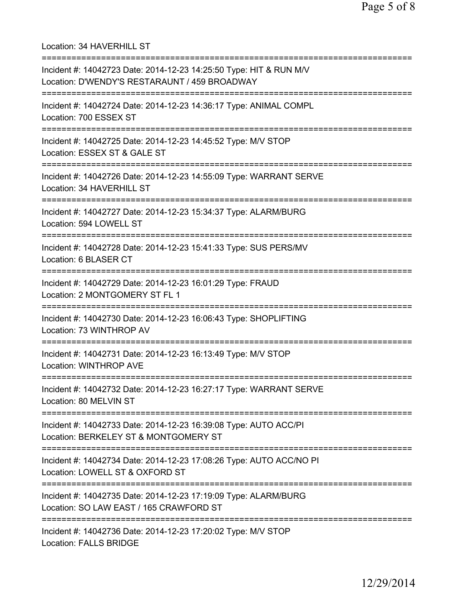Location: 34 HAVERHILL ST =========================================================================== Incident #: 14042723 Date: 2014-12-23 14:25:50 Type: HIT & RUN M/V Location: D'WENDY'S RESTARAUNT / 459 BROADWAY =========================================================================== Incident #: 14042724 Date: 2014-12-23 14:36:17 Type: ANIMAL COMPL Location: 700 ESSEX ST =========================================================================== Incident #: 14042725 Date: 2014-12-23 14:45:52 Type: M/V STOP Location: ESSEX ST & GALE ST =========================================================================== Incident #: 14042726 Date: 2014-12-23 14:55:09 Type: WARRANT SERVE Location: 34 HAVERHILL ST =========================================================================== Incident #: 14042727 Date: 2014-12-23 15:34:37 Type: ALARM/BURG Location: 594 LOWELL ST =========================================================================== Incident #: 14042728 Date: 2014-12-23 15:41:33 Type: SUS PERS/MV Location: 6 BLASER CT =========================================================================== Incident #: 14042729 Date: 2014-12-23 16:01:29 Type: FRAUD Location: 2 MONTGOMERY ST FL 1 =========================================================================== Incident #: 14042730 Date: 2014-12-23 16:06:43 Type: SHOPLIFTING Location: 73 WINTHROP AV =========================================================================== Incident #: 14042731 Date: 2014-12-23 16:13:49 Type: M/V STOP Location: WINTHROP AVE =========================================================================== Incident #: 14042732 Date: 2014-12-23 16:27:17 Type: WARRANT SERVE Location: 80 MELVIN ST =========================================================================== Incident #: 14042733 Date: 2014-12-23 16:39:08 Type: AUTO ACC/PI Location: BERKELEY ST & MONTGOMERY ST =========================================================================== Incident #: 14042734 Date: 2014-12-23 17:08:26 Type: AUTO ACC/NO PI Location: LOWELL ST & OXFORD ST =========================================================================== Incident #: 14042735 Date: 2014-12-23 17:19:09 Type: ALARM/BURG Location: SO LAW EAST / 165 CRAWFORD ST =========================================================================== Incident #: 14042736 Date: 2014-12-23 17:20:02 Type: M/V STOP Location: FALLS BRIDGE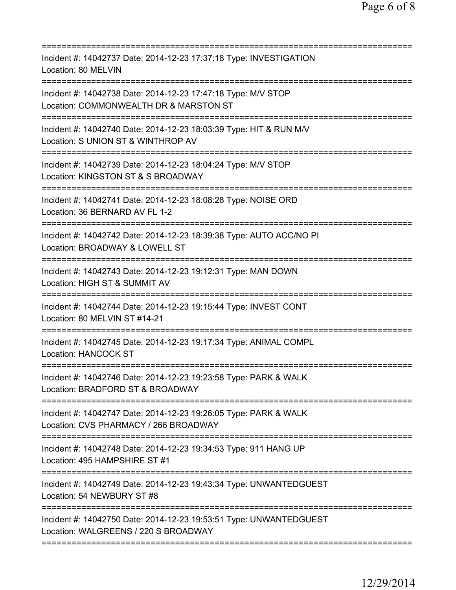| Incident #: 14042737 Date: 2014-12-23 17:37:18 Type: INVESTIGATION<br>Location: 80 MELVIN                                                         |
|---------------------------------------------------------------------------------------------------------------------------------------------------|
| Incident #: 14042738 Date: 2014-12-23 17:47:18 Type: M/V STOP<br>Location: COMMONWEALTH DR & MARSTON ST<br>=====================================  |
| Incident #: 14042740 Date: 2014-12-23 18:03:39 Type: HIT & RUN M/V<br>Location: S UNION ST & WINTHROP AV                                          |
| Incident #: 14042739 Date: 2014-12-23 18:04:24 Type: M/V STOP<br>Location: KINGSTON ST & S BROADWAY                                               |
| Incident #: 14042741 Date: 2014-12-23 18:08:28 Type: NOISE ORD<br>Location: 36 BERNARD AV FL 1-2                                                  |
| Incident #: 14042742 Date: 2014-12-23 18:39:38 Type: AUTO ACC/NO PI<br>Location: BROADWAY & LOWELL ST                                             |
| Incident #: 14042743 Date: 2014-12-23 19:12:31 Type: MAN DOWN<br>Location: HIGH ST & SUMMIT AV                                                    |
| Incident #: 14042744 Date: 2014-12-23 19:15:44 Type: INVEST CONT<br>Location: 80 MELVIN ST #14-21                                                 |
| Incident #: 14042745 Date: 2014-12-23 19:17:34 Type: ANIMAL COMPL<br><b>Location: HANCOCK ST</b>                                                  |
| Incident #: 14042746 Date: 2014-12-23 19:23:58 Type: PARK & WALK<br>Location: BRADFORD ST & BROADWAY                                              |
| ====================================<br>Incident #: 14042747 Date: 2014-12-23 19:26:05 Type: PARK & WALK<br>Location: CVS PHARMACY / 266 BROADWAY |
| Incident #: 14042748 Date: 2014-12-23 19:34:53 Type: 911 HANG UP<br>Location: 495 HAMPSHIRE ST #1                                                 |
| Incident #: 14042749 Date: 2014-12-23 19:43:34 Type: UNWANTEDGUEST<br>Location: 54 NEWBURY ST #8                                                  |
| Incident #: 14042750 Date: 2014-12-23 19:53:51 Type: UNWANTEDGUEST<br>Location: WALGREENS / 220 S BROADWAY                                        |
|                                                                                                                                                   |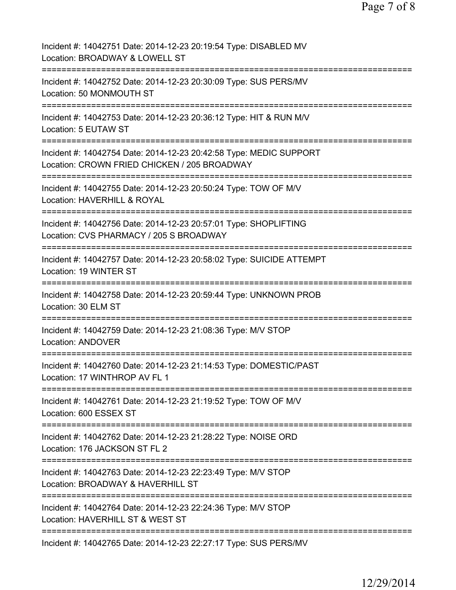| Incident #: 14042751 Date: 2014-12-23 20:19:54 Type: DISABLED MV<br>Location: BROADWAY & LOWELL ST                                      |
|-----------------------------------------------------------------------------------------------------------------------------------------|
| Incident #: 14042752 Date: 2014-12-23 20:30:09 Type: SUS PERS/MV<br>Location: 50 MONMOUTH ST                                            |
| Incident #: 14042753 Date: 2014-12-23 20:36:12 Type: HIT & RUN M/V<br>Location: 5 EUTAW ST                                              |
| Incident #: 14042754 Date: 2014-12-23 20:42:58 Type: MEDIC SUPPORT<br>Location: CROWN FRIED CHICKEN / 205 BROADWAY                      |
| Incident #: 14042755 Date: 2014-12-23 20:50:24 Type: TOW OF M/V<br>Location: HAVERHILL & ROYAL<br>===================================== |
| Incident #: 14042756 Date: 2014-12-23 20:57:01 Type: SHOPLIFTING<br>Location: CVS PHARMACY / 205 S BROADWAY                             |
| Incident #: 14042757 Date: 2014-12-23 20:58:02 Type: SUICIDE ATTEMPT<br>Location: 19 WINTER ST                                          |
| Incident #: 14042758 Date: 2014-12-23 20:59:44 Type: UNKNOWN PROB<br>Location: 30 ELM ST                                                |
| Incident #: 14042759 Date: 2014-12-23 21:08:36 Type: M/V STOP<br><b>Location: ANDOVER</b>                                               |
| Incident #: 14042760 Date: 2014-12-23 21:14:53 Type: DOMESTIC/PAST<br>Location: 17 WINTHROP AV FL 1                                     |
| Incident #: 14042761 Date: 2014-12-23 21:19:52 Type: TOW OF M/V<br>Location: 600 ESSEX ST                                               |
| Incident #: 14042762 Date: 2014-12-23 21:28:22 Type: NOISE ORD<br>Location: 176 JACKSON ST FL 2                                         |
| Incident #: 14042763 Date: 2014-12-23 22:23:49 Type: M/V STOP<br>Location: BROADWAY & HAVERHILL ST                                      |
| Incident #: 14042764 Date: 2014-12-23 22:24:36 Type: M/V STOP<br>Location: HAVERHILL ST & WEST ST<br>=============                      |
| Incident #: 14042765 Date: 2014-12-23 22:27:17 Type: SUS PERS/MV                                                                        |